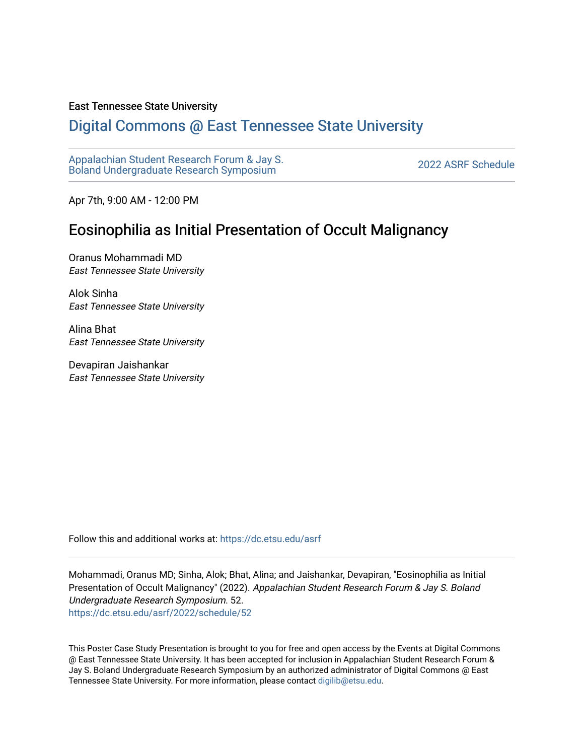### East Tennessee State University

## [Digital Commons @ East Tennessee State University](https://dc.etsu.edu/)

[Appalachian Student Research Forum & Jay S.](https://dc.etsu.edu/asrf)  Appalactifalt Student Research Forum & Jay S.<br>Boland Undergraduate Research Symposium

Apr 7th, 9:00 AM - 12:00 PM

## Eosinophilia as Initial Presentation of Occult Malignancy

Oranus Mohammadi MD East Tennessee State University

Alok Sinha East Tennessee State University

Alina Bhat East Tennessee State University

Devapiran Jaishankar East Tennessee State University

Follow this and additional works at: [https://dc.etsu.edu/asrf](https://dc.etsu.edu/asrf?utm_source=dc.etsu.edu%2Fasrf%2F2022%2Fschedule%2F52&utm_medium=PDF&utm_campaign=PDFCoverPages) 

Mohammadi, Oranus MD; Sinha, Alok; Bhat, Alina; and Jaishankar, Devapiran, "Eosinophilia as Initial Presentation of Occult Malignancy" (2022). Appalachian Student Research Forum & Jay S. Boland Undergraduate Research Symposium. 52. [https://dc.etsu.edu/asrf/2022/schedule/52](https://dc.etsu.edu/asrf/2022/schedule/52?utm_source=dc.etsu.edu%2Fasrf%2F2022%2Fschedule%2F52&utm_medium=PDF&utm_campaign=PDFCoverPages) 

This Poster Case Study Presentation is brought to you for free and open access by the Events at Digital Commons @ East Tennessee State University. It has been accepted for inclusion in Appalachian Student Research Forum & Jay S. Boland Undergraduate Research Symposium by an authorized administrator of Digital Commons @ East Tennessee State University. For more information, please contact [digilib@etsu.edu](mailto:digilib@etsu.edu).